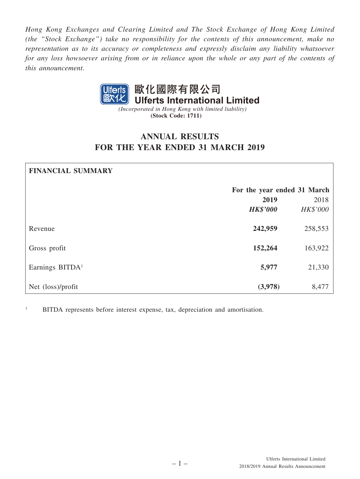*Hong Kong Exchanges and Clearing Limited and The Stock Exchange of Hong Kong Limited (the "Stock Exchange") take no responsibility for the contents of this announcement, make no representation as to its accuracy or completeness and expressly disclaim any liability whatsoever for any loss howsoever arising from or in reliance upon the whole or any part of the contents of this announcement.*



*(Incorporated in Hong Kong with limited liability)* **(Stock Code: 1711)**

## **ANNUAL RESULTS FOR THE YEAR ENDED 31 MARCH 2019**

# **FINANCIAL SUMMARY For the year ended 31 March 2019** 2018 *HK\$'000 HK\$'000* Revenue **242,959** 258,553 Gross profit **152,264** 163,922 **Earnings BITDA**<sup>1</sup> 21,330 Net (loss)/profit **(3,978)** 8,477

1 BITDA represents before interest expense, tax, depreciation and amortisation.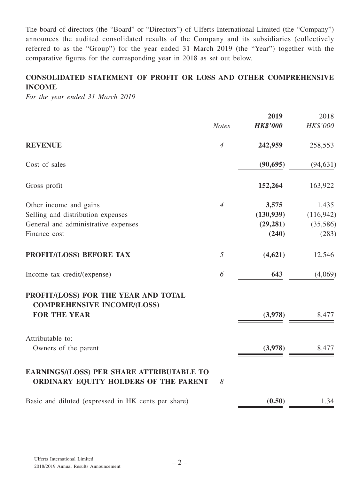The board of directors (the "Board" or "Directors") of Ulferts International Limited (the "Company") announces the audited consolidated results of the Company and its subsidiaries (collectively referred to as the "Group") for the year ended 31 March 2019 (the "Year") together with the comparative figures for the corresponding year in 2018 as set out below.

## **CONSOLIDATED STATEMENT OF PROFIT OR LOSS AND OTHER COMPREHENSIVE INCOME**

*For the year ended 31 March 2019*

|                                                                                                   |                | 2019            | 2018       |
|---------------------------------------------------------------------------------------------------|----------------|-----------------|------------|
|                                                                                                   | <b>Notes</b>   | <b>HK\$'000</b> | HK\$'000   |
| <b>REVENUE</b>                                                                                    | $\overline{4}$ | 242,959         | 258,553    |
| Cost of sales                                                                                     |                | (90, 695)       | (94, 631)  |
| Gross profit                                                                                      |                | 152,264         | 163,922    |
| Other income and gains                                                                            | $\overline{4}$ | 3,575           | 1,435      |
| Selling and distribution expenses                                                                 |                | (130, 939)      | (116, 942) |
| General and administrative expenses                                                               |                | (29, 281)       | (35,586)   |
| Finance cost                                                                                      |                | (240)           | (283)      |
| PROFIT/(LOSS) BEFORE TAX                                                                          | 5              | (4,621)         | 12,546     |
| Income tax credit/(expense)                                                                       | 6              | 643             | (4,069)    |
| PROFIT/(LOSS) FOR THE YEAR AND TOTAL<br><b>COMPREHENSIVE INCOME/(LOSS)</b><br><b>FOR THE YEAR</b> |                | (3,978)         | 8,477      |
| Attributable to:<br>Owners of the parent                                                          |                | (3,978)         | 8,477      |
| <b>EARNINGS/(LOSS) PER SHARE ATTRIBUTABLE TO</b><br>ORDINARY EQUITY HOLDERS OF THE PARENT         | 8              |                 |            |
| Basic and diluted (expressed in HK cents per share)                                               |                | (0.50)          | 1.34       |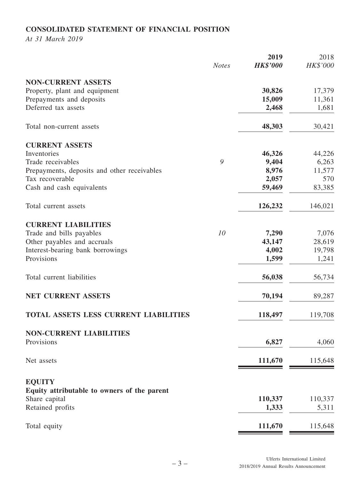## **CONSOLIDATED STATEMENT OF FINANCIAL POSITION**

*At 31 March 2019*

|                                                              | <b>Notes</b> | 2019<br><b>HK\$'000</b> | 2018<br>HK\$'000 |
|--------------------------------------------------------------|--------------|-------------------------|------------------|
| <b>NON-CURRENT ASSETS</b>                                    |              |                         |                  |
| Property, plant and equipment                                |              | 30,826                  | 17,379           |
| Prepayments and deposits                                     |              | 15,009                  | 11,361           |
| Deferred tax assets                                          |              | 2,468                   | 1,681            |
| Total non-current assets                                     |              | 48,303                  | 30,421           |
| <b>CURRENT ASSETS</b>                                        |              |                         |                  |
| Inventories                                                  |              | 46,326                  | 44,226           |
| Trade receivables                                            | 9            | 9,404                   | 6,263            |
| Prepayments, deposits and other receivables                  |              | 8,976                   | 11,577           |
| Tax recoverable                                              |              | 2,057                   | 570              |
| Cash and cash equivalents                                    |              | 59,469                  | 83,385           |
| Total current assets                                         |              | 126,232                 | 146,021          |
| <b>CURRENT LIABILITIES</b>                                   |              |                         |                  |
| Trade and bills payables                                     | 10           | 7,290                   | 7,076            |
| Other payables and accruals                                  |              | 43,147                  | 28,619           |
| Interest-bearing bank borrowings                             |              | 4,002                   | 19,798           |
| Provisions                                                   |              | 1,599                   | 1,241            |
| Total current liabilities                                    |              | 56,038                  | 56,734           |
| <b>NET CURRENT ASSETS</b>                                    |              | 70,194                  | 89,287           |
| <b>TOTAL ASSETS LESS CURRENT LIABILITIES</b>                 |              | 118,497                 | 119,708          |
| <b>NON-CURRENT LIABILITIES</b>                               |              |                         |                  |
| Provisions                                                   |              | 6,827                   | 4,060            |
| Net assets                                                   |              | 111,670                 | 115,648          |
| <b>EQUITY</b>                                                |              |                         |                  |
| Equity attributable to owners of the parent<br>Share capital |              | 110,337                 | 110,337          |
| Retained profits                                             |              | 1,333                   | 5,311            |
| Total equity                                                 |              | 111,670                 | 115,648          |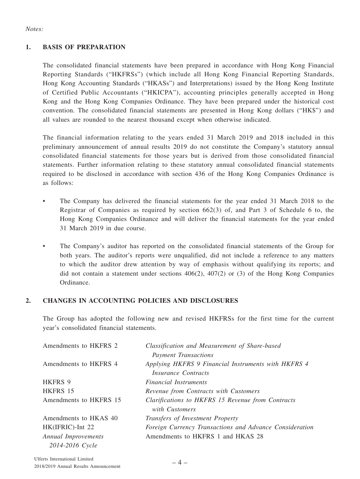#### *Notes:*

## **1. BASIS OF PREPARATION**

The consolidated financial statements have been prepared in accordance with Hong Kong Financial Reporting Standards ("HKFRSs") (which include all Hong Kong Financial Reporting Standards, Hong Kong Accounting Standards ("HKASs") and Interpretations) issued by the Hong Kong Institute of Certified Public Accountants ("HKICPA"), accounting principles generally accepted in Hong Kong and the Hong Kong Companies Ordinance. They have been prepared under the historical cost convention. The consolidated financial statements are presented in Hong Kong dollars ("HK\$") and all values are rounded to the nearest thousand except when otherwise indicated.

The financial information relating to the years ended 31 March 2019 and 2018 included in this preliminary announcement of annual results 2019 do not constitute the Company's statutory annual consolidated financial statements for those years but is derived from those consolidated financial statements. Further information relating to these statutory annual consolidated financial statements required to be disclosed in accordance with section 436 of the Hong Kong Companies Ordinance is as follows:

- The Company has delivered the financial statements for the year ended 31 March 2018 to the Registrar of Companies as required by section 662(3) of, and Part 3 of Schedule 6 to, the Hong Kong Companies Ordinance and will deliver the financial statements for the year ended 31 March 2019 in due course.
- The Company's auditor has reported on the consolidated financial statements of the Group for both years. The auditor's reports were unqualified, did not include a reference to any matters to which the auditor drew attention by way of emphasis without qualifying its reports; and did not contain a statement under sections  $406(2)$ ,  $407(2)$  or (3) of the Hong Kong Companies Ordinance.

## **2. CHANGES IN ACCOUNTING POLICIES AND DISCLOSURES**

The Group has adopted the following new and revised HKFRSs for the first time for the current year's consolidated financial statements.

| Amendments to HKFRS 2  | Classification and Measurement of Share-based<br><b>Payment Transactions</b>      |
|------------------------|-----------------------------------------------------------------------------------|
| Amendments to HKFRS 4  | Applying HKFRS 9 Financial Instruments with HKFRS 4<br><i>Insurance Contracts</i> |
| HKFRS 9                | <i>Financial Instruments</i>                                                      |
| HKFRS 15               | Revenue from Contracts with Customers                                             |
| Amendments to HKFRS 15 | Clarifications to HKFRS 15 Revenue from Contracts<br>with Customers               |
| Amendments to HKAS 40  | Transfers of Investment Property                                                  |
| HK(IFRIC)-Int 22       | Foreign Currency Transactions and Advance Consideration                           |
| Annual Improvements    | Amendments to HKFRS 1 and HKAS 28                                                 |
| 2014-2016 Cycle        |                                                                                   |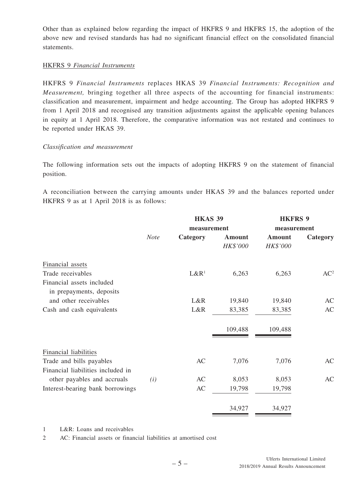Other than as explained below regarding the impact of HKFRS 9 and HKFRS 15, the adoption of the above new and revised standards has had no significant financial effect on the consolidated financial statements.

#### HKFRS 9 *Financial Instruments*

HKFRS 9 *Financial Instruments* replaces HKAS 39 *Financial Instruments: Recognition and Measurement,* bringing together all three aspects of the accounting for financial instruments: classification and measurement, impairment and hedge accounting. The Group has adopted HKFRS 9 from 1 April 2018 and recognised any transition adjustments against the applicable opening balances in equity at 1 April 2018. Therefore, the comparative information was not restated and continues to be reported under HKAS 39.

#### *Classification and measurement*

The following information sets out the impacts of adopting HKFRS 9 on the statement of financial position.

A reconciliation between the carrying amounts under HKAS 39 and the balances reported under HKFRS 9 as at 1 April 2018 is as follows:

|                                   |             | <b>HKAS 39</b>   |          | <b>HKFRS 9</b> |                 |
|-----------------------------------|-------------|------------------|----------|----------------|-----------------|
|                                   |             | measurement      |          | measurement    |                 |
|                                   | <b>Note</b> | Category         | Amount   | Amount         | Category        |
|                                   |             |                  | HK\$'000 | HK\$'000       |                 |
| Financial assets                  |             |                  |          |                |                 |
| Trade receivables                 |             | L&R <sup>1</sup> | 6,263    | 6,263          | AC <sup>2</sup> |
| Financial assets included         |             |                  |          |                |                 |
| in prepayments, deposits          |             |                  |          |                |                 |
| and other receivables             |             | L&R              | 19,840   | 19,840         | AC              |
| Cash and cash equivalents         |             | L&R              | 83,385   | 83,385         | AC              |
|                                   |             |                  | 109,488  | 109,488        |                 |
| Financial liabilities             |             |                  |          |                |                 |
| Trade and bills payables          |             | AC               | 7,076    | 7,076          | AC              |
| Financial liabilities included in |             |                  |          |                |                 |
| other payables and accruals       | (i)         | AC               | 8,053    | 8,053          | AC              |
| Interest-bearing bank borrowings  |             | AC               | 19,798   | 19,798         |                 |
|                                   |             |                  | 34,927   | 34,927         |                 |

1 L&R: Loans and receivables

2 AC: Financial assets or financial liabilities at amortised cost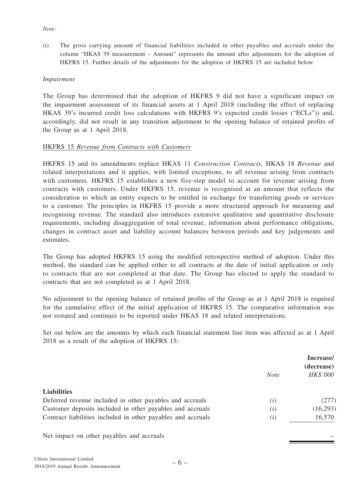#### *Note:*

(i) The gross carrying amount of financial liabilities included in other payables and accruals under the column "HKAS 39 measurement – Amount" represents the amount after adjustments for the adoption of HKFRS 15. Further details of the adjustments for the adoption of HKFRS 15 are included below.

#### *Impairment*

The Group has determined that the adoption of HKFRS 9 did not have a significant impact on the impairment assessment of its financial assets at 1 April 2018 (including the effect of replacing HKAS 39's incurred credit loss calculations with HKFRS 9's expected credit losses ("ECLs")) and, accordingly, did not result in any transition adjustment to the opening balance of retained profits of the Group as at 1 April 2018.

#### HKFRS 15 *Revenue from Contracts with Customers*

HKFRS 15 and its amendments replace HKAS 11 *Construction Contracts*, HKAS 18 *Revenue* and related interpretations and it applies, with limited exceptions, to all revenue arising from contracts with customers. HKFRS 15 establishes a new five-step model to account for revenue arising from contracts with customers. Under HKFRS 15, revenue is recognised at an amount that reflects the consideration to which an entity expects to be entitled in exchange for transferring goods or services to a customer. The principles in HKFRS 15 provide a more structured approach for measuring and recognising revenue. The standard also introduces extensive qualitative and quantitative disclosure requirements, including disaggregation of total revenue, information about performance obligations, changes in contract asset and liability account balances between periods and key judgements and estimates.

The Group has adopted HKFRS 15 using the modified retrospective method of adoption. Under this method, the standard can be applied either to all contracts at the date of initial application or only to contracts that are not completed at that date. The Group has elected to apply the standard to contracts that are not completed as at 1 April 2018.

No adjustment to the opening balance of retained profits of the Group as at 1 April 2018 is required for the cumulative effect of the initial application of HKFRS 15. The comparative information was not restated and continues to be reported under HKAS 18 and related interpretations.

Set out below are the amounts by which each financial statement line item was affected as at 1 April 2018 as a result of the adoption of HKFRS 15:

|                                                              | Increase/<br>(decrease) |          |
|--------------------------------------------------------------|-------------------------|----------|
|                                                              | <b>Note</b>             | HK\$'000 |
| <b>Liabilities</b>                                           |                         |          |
| Deferred revenue included in other payables and accruals     | (i)                     | (277)    |
| Customer deposits included in other payables and accruals    | (i)                     | (16,293) |
| Contract liabilities included in other payables and accruals | (i)                     | 16,570   |
| Net impact on other payables and accruals                    |                         |          |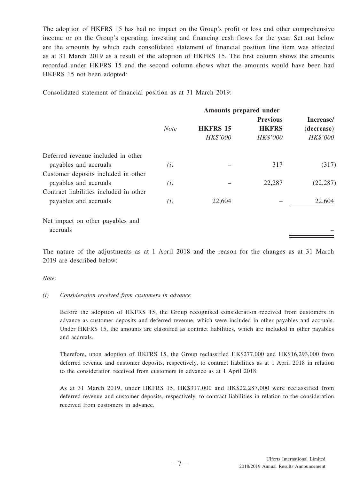The adoption of HKFRS 15 has had no impact on the Group's profit or loss and other comprehensive income or on the Group's operating, investing and financing cash flows for the year. Set out below are the amounts by which each consolidated statement of financial position line item was affected as at 31 March 2019 as a result of the adoption of HKFRS 15. The first column shows the amounts recorded under HKFRS 15 and the second column shows what the amounts would have been had HKFRS 15 not been adopted:

Consolidated statement of financial position as at 31 March 2019:

| Amounts prepared under |                 |                 |            |
|------------------------|-----------------|-----------------|------------|
|                        |                 | <b>Previous</b> | Increase/  |
| <b>Note</b>            | <b>HKFRS 15</b> | <b>HKFRS</b>    | (decrease) |
|                        | HK\$'000        | HK\$'000        | HK\$'000   |
|                        |                 |                 |            |
| (i)                    |                 | 317             | (317)      |
|                        |                 |                 |            |
| (i)                    |                 | 22,287          | (22, 287)  |
|                        |                 |                 |            |
| (i)                    | 22,604          |                 | 22,604     |
|                        |                 |                 |            |
|                        |                 |                 |            |
|                        |                 |                 |            |

The nature of the adjustments as at 1 April 2018 and the reason for the changes as at 31 March 2019 are described below:

#### *Note:*

#### *(i) Consideration received from customers in advance*

Before the adoption of HKFRS 15, the Group recognised consideration received from customers in advance as customer deposits and deferred revenue, which were included in other payables and accruals. Under HKFRS 15, the amounts are classified as contract liabilities, which are included in other payables and accruals.

Therefore, upon adoption of HKFRS 15, the Group reclassified HK\$277,000 and HK\$16,293,000 from deferred revenue and customer deposits, respectively, to contract liabilities as at 1 April 2018 in relation to the consideration received from customers in advance as at 1 April 2018.

As at 31 March 2019, under HKFRS 15, HK\$317,000 and HK\$22,287,000 were reclassified from deferred revenue and customer deposits, respectively, to contract liabilities in relation to the consideration received from customers in advance.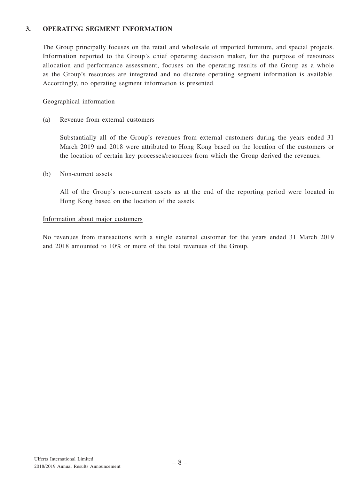#### **3. OPERATING SEGMENT INFORMATION**

The Group principally focuses on the retail and wholesale of imported furniture, and special projects. Information reported to the Group's chief operating decision maker, for the purpose of resources allocation and performance assessment, focuses on the operating results of the Group as a whole as the Group's resources are integrated and no discrete operating segment information is available. Accordingly, no operating segment information is presented.

#### Geographical information

(a) Revenue from external customers

Substantially all of the Group's revenues from external customers during the years ended 31 March 2019 and 2018 were attributed to Hong Kong based on the location of the customers or the location of certain key processes/resources from which the Group derived the revenues.

#### (b) Non-current assets

All of the Group's non-current assets as at the end of the reporting period were located in Hong Kong based on the location of the assets.

#### Information about major customers

No revenues from transactions with a single external customer for the years ended 31 March 2019 and 2018 amounted to 10% or more of the total revenues of the Group.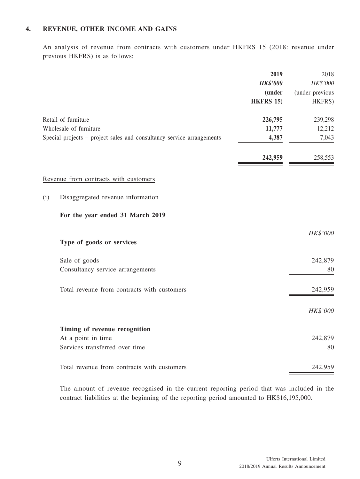## **4. REVENUE, OTHER INCOME AND GAINS**

An analysis of revenue from contracts with customers under HKFRS 15 (2018: revenue under previous HKFRS) is as follows:

|                                                                       | 2019<br><b>HK\$'000</b> | 2018<br>HK\$'000 |
|-----------------------------------------------------------------------|-------------------------|------------------|
|                                                                       | <i>(under)</i>          | (under previous  |
|                                                                       | <b>HKFRS 15)</b>        | HKFRS)           |
| Retail of furniture                                                   | 226,795                 | 239,298          |
| Wholesale of furniture                                                | 11,777                  | 12,212           |
| Special projects - project sales and consultancy service arrangements | 4,387                   | 7,043            |
|                                                                       | 242,959                 | 258,553          |
| Revenue from contracts with customers                                 |                         |                  |
| Disaggregated revenue information<br>(i)                              |                         |                  |
| For the year ended 31 March 2019                                      |                         |                  |
|                                                                       |                         | HK\$'000         |
| Type of goods or services                                             |                         |                  |
| Sale of goods                                                         |                         | 242,879          |
| Consultancy service arrangements                                      |                         | 80               |
| Total revenue from contracts with customers                           |                         | 242,959          |
|                                                                       |                         | HK\$'000         |
| Timing of revenue recognition                                         |                         |                  |
| At a point in time                                                    |                         | 242,879          |
| Services transferred over time                                        |                         | 80               |
| Total revenue from contracts with customers                           |                         | 242,959          |

The amount of revenue recognised in the current reporting period that was included in the contract liabilities at the beginning of the reporting period amounted to HK\$16,195,000.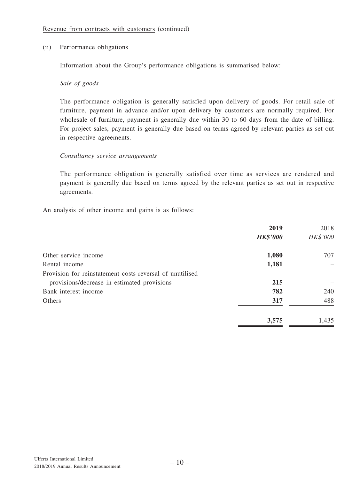#### (ii) Performance obligations

Information about the Group's performance obligations is summarised below:

#### *Sale of goods*

The performance obligation is generally satisfied upon delivery of goods. For retail sale of furniture, payment in advance and/or upon delivery by customers are normally required. For wholesale of furniture, payment is generally due within 30 to 60 days from the date of billing. For project sales, payment is generally due based on terms agreed by relevant parties as set out in respective agreements.

#### *Consultancy service arrangements*

The performance obligation is generally satisfied over time as services are rendered and payment is generally due based on terms agreed by the relevant parties as set out in respective agreements.

An analysis of other income and gains is as follows:

|                                                          | 2019            | 2018     |
|----------------------------------------------------------|-----------------|----------|
|                                                          | <b>HK\$'000</b> | HK\$'000 |
| Other service income                                     | 1,080           | 707      |
| Rental income                                            | 1,181           |          |
| Provision for reinstatement costs-reversal of unutilised |                 |          |
| provisions/decrease in estimated provisions              | 215             |          |
| Bank interest income                                     | 782             | 240      |
| <b>Others</b>                                            | 317             | 488      |
|                                                          | 3,575           | 1,435    |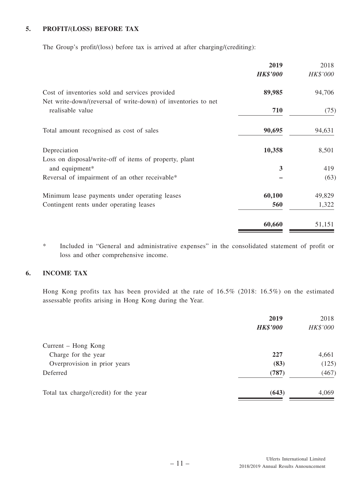## **5. PROFIT/(LOSS) BEFORE TAX**

The Group's profit/(loss) before tax is arrived at after charging/(crediting):

|                                                               | 2019            | 2018     |
|---------------------------------------------------------------|-----------------|----------|
|                                                               | <b>HK\$'000</b> | HK\$'000 |
| Cost of inventories sold and services provided                | 89,985          | 94,706   |
| Net write-down/(reversal of write-down) of inventories to net |                 |          |
| realisable value                                              | 710             | (75)     |
| Total amount recognised as cost of sales                      | 90,695          | 94,631   |
| Depreciation                                                  | 10,358          | 8,501    |
| Loss on disposal/write-off of items of property, plant        |                 |          |
| and equipment*                                                | 3               | 419      |
| Reversal of impairment of an other receivable*                |                 | (63)     |
| Minimum lease payments under operating leases                 | 60,100          | 49,829   |
| Contingent rents under operating leases                       | 560             | 1,322    |
|                                                               | 60,660          | 51,151   |

\* Included in "General and administrative expenses" in the consolidated statement of profit or loss and other comprehensive income.

## **6. INCOME TAX**

Hong Kong profits tax has been provided at the rate of 16.5% (2018: 16.5%) on the estimated assessable profits arising in Hong Kong during the Year.

|                                        | 2019            | 2018     |
|----------------------------------------|-----------------|----------|
|                                        | <b>HK\$'000</b> | HK\$'000 |
| Current – Hong Kong                    |                 |          |
| Charge for the year                    | 227             | 4,661    |
| Overprovision in prior years           | (83)            | (125)    |
| Deferred                               | (787)           | (467)    |
| Total tax charge/(credit) for the year | (643)           | 4,069    |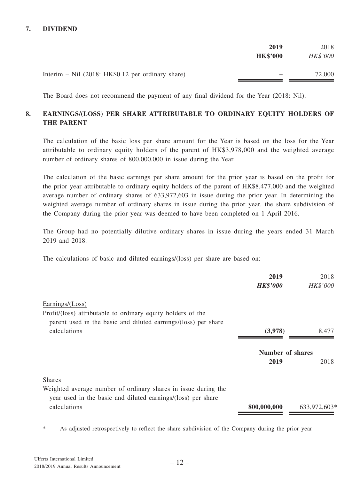## **7. DIVIDEND**

|                                                     | 2019<br><b>HK\$'000</b> | 2018<br>HK\$'000 |
|-----------------------------------------------------|-------------------------|------------------|
| Interim – Nil $(2018: HK $0.12$ per ordinary share) |                         | 72,000           |

The Board does not recommend the payment of any final dividend for the Year (2018: Nil).

## **8. EARNINGS/(LOSS) PER SHARE ATTRIBUTABLE TO ORDINARY EQUITY HOLDERS OF THE PARENT**

The calculation of the basic loss per share amount for the Year is based on the loss for the Year attributable to ordinary equity holders of the parent of HK\$3,978,000 and the weighted average number of ordinary shares of 800,000,000 in issue during the Year.

The calculation of the basic earnings per share amount for the prior year is based on the profit for the prior year attributable to ordinary equity holders of the parent of HK\$8,477,000 and the weighted average number of ordinary shares of 633,972,603 in issue during the prior year. In determining the weighted average number of ordinary shares in issue during the prior year, the share subdivision of the Company during the prior year was deemed to have been completed on 1 April 2016.

The Group had no potentially dilutive ordinary shares in issue during the years ended 31 March 2019 and 2018.

The calculations of basic and diluted earnings/(loss) per share are based on:

|                                                                | 2019                    | 2018         |
|----------------------------------------------------------------|-------------------------|--------------|
|                                                                | <b>HK\$'000</b>         | HK\$'000     |
| Earnings/(Loss)                                                |                         |              |
| Profit/(loss) attributable to ordinary equity holders of the   |                         |              |
| parent used in the basic and diluted earnings/(loss) per share |                         |              |
| calculations                                                   | (3,978)                 | 8,477        |
|                                                                | <b>Number of shares</b> |              |
|                                                                | 2019                    | 2018         |
| <b>Shares</b>                                                  |                         |              |
| Weighted average number of ordinary shares in issue during the |                         |              |
| year used in the basic and diluted earnings/(loss) per share   |                         |              |
| calculations                                                   | 800,000,000             | 633,972,603* |

\* As adjusted retrospectively to reflect the share subdivision of the Company during the prior year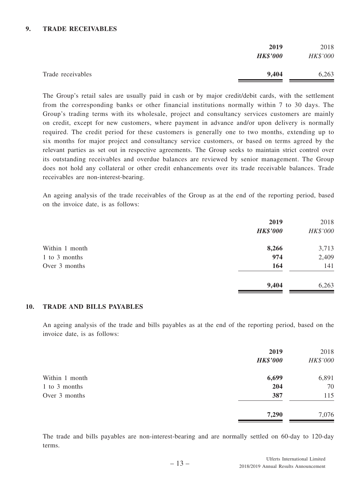#### **9. TRADE RECEIVABLES**

|                   | 2019<br><b>HK\$'000</b> | 2018<br>HK\$'000 |
|-------------------|-------------------------|------------------|
| Trade receivables | 9,404                   | 6,263            |

The Group's retail sales are usually paid in cash or by major credit/debit cards, with the settlement from the corresponding banks or other financial institutions normally within 7 to 30 days. The Group's trading terms with its wholesale, project and consultancy services customers are mainly on credit, except for new customers, where payment in advance and/or upon delivery is normally required. The credit period for these customers is generally one to two months, extending up to six months for major project and consultancy service customers, or based on terms agreed by the relevant parties as set out in respective agreements. The Group seeks to maintain strict control over its outstanding receivables and overdue balances are reviewed by senior management. The Group does not hold any collateral or other credit enhancements over its trade receivable balances. Trade receivables are non-interest-bearing.

An ageing analysis of the trade receivables of the Group as at the end of the reporting period, based on the invoice date, is as follows:

|                | 2019            | 2018     |
|----------------|-----------------|----------|
|                | <b>HK\$'000</b> | HK\$'000 |
| Within 1 month | 8,266           | 3,713    |
| 1 to 3 months  | 974             | 2,409    |
| Over 3 months  | 164             | 141      |
|                | 9,404           | 6,263    |

#### **10. TRADE AND BILLS PAYABLES**

An ageing analysis of the trade and bills payables as at the end of the reporting period, based on the invoice date, is as follows:

|                | 2019<br><b>HK\$'000</b> | 2018<br>HK\$'000 |
|----------------|-------------------------|------------------|
|                |                         |                  |
| Within 1 month | 6,699                   | 6,891            |
| 1 to 3 months  | 204                     | 70               |
| Over 3 months  | 387                     | 115              |
|                | 7,290                   | 7,076            |

The trade and bills payables are non-interest-bearing and are normally settled on 60-day to 120-day terms.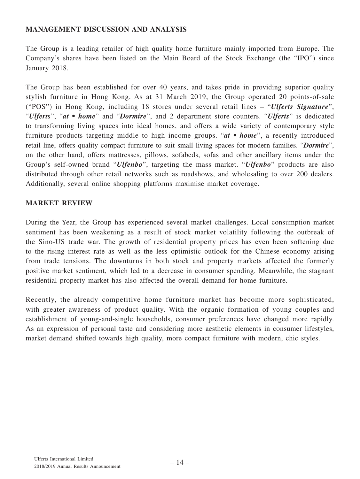## **MANAGEMENT DISCUSSION AND ANALYSIS**

The Group is a leading retailer of high quality home furniture mainly imported from Europe. The Company's shares have been listed on the Main Board of the Stock Exchange (the "IPO") since January 2018.

The Group has been established for over 40 years, and takes pride in providing superior quality stylish furniture in Hong Kong. As at 31 March 2019, the Group operated 20 points-of-sale ("POS") in Hong Kong, including 18 stores under several retail lines – "*Ulferts Signature*", "*Ulferts*", "*at • home*" and "*Dormire*", and 2 department store counters. "*Ulferts*" is dedicated to transforming living spaces into ideal homes, and offers a wide variety of contemporary style furniture products targeting middle to high income groups. "*at • home*", a recently introduced retail line, offers quality compact furniture to suit small living spaces for modern families. "*Dormire*", on the other hand, offers mattresses, pillows, sofabeds, sofas and other ancillary items under the Group's self-owned brand "*Ulfenbo*", targeting the mass market. "*Ulfenbo*" products are also distributed through other retail networks such as roadshows, and wholesaling to over 200 dealers. Additionally, several online shopping platforms maximise market coverage.

## **MARKET REVIEW**

During the Year, the Group has experienced several market challenges. Local consumption market sentiment has been weakening as a result of stock market volatility following the outbreak of the Sino-US trade war. The growth of residential property prices has even been softening due to the rising interest rate as well as the less optimistic outlook for the Chinese economy arising from trade tensions. The downturns in both stock and property markets affected the formerly positive market sentiment, which led to a decrease in consumer spending. Meanwhile, the stagnant residential property market has also affected the overall demand for home furniture.

Recently, the already competitive home furniture market has become more sophisticated, with greater awareness of product quality. With the organic formation of young couples and establishment of young-and-single households, consumer preferences have changed more rapidly. As an expression of personal taste and considering more aesthetic elements in consumer lifestyles, market demand shifted towards high quality, more compact furniture with modern, chic styles.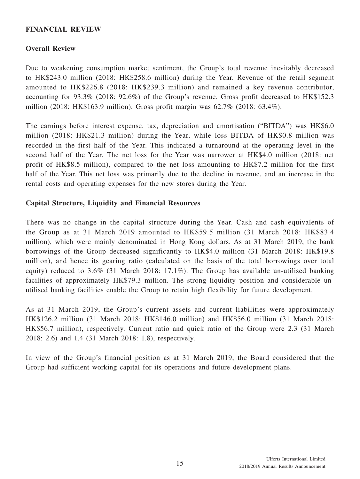## **FINANCIAL REVIEW**

## **Overall Review**

Due to weakening consumption market sentiment, the Group's total revenue inevitably decreased to HK\$243.0 million (2018: HK\$258.6 million) during the Year. Revenue of the retail segment amounted to HK\$226.8 (2018: HK\$239.3 million) and remained a key revenue contributor, accounting for 93.3% (2018: 92.6%) of the Group's revenue. Gross profit decreased to HK\$152.3 million (2018: HK\$163.9 million). Gross profit margin was 62.7% (2018: 63.4%).

The earnings before interest expense, tax, depreciation and amortisation ("BITDA") was HK\$6.0 million (2018: HK\$21.3 million) during the Year, while loss BITDA of HK\$0.8 million was recorded in the first half of the Year. This indicated a turnaround at the operating level in the second half of the Year. The net loss for the Year was narrower at HK\$4.0 million (2018: net profit of HK\$8.5 million), compared to the net loss amounting to HK\$7.2 million for the first half of the Year. This net loss was primarily due to the decline in revenue, and an increase in the rental costs and operating expenses for the new stores during the Year.

## **Capital Structure, Liquidity and Financial Resources**

There was no change in the capital structure during the Year. Cash and cash equivalents of the Group as at 31 March 2019 amounted to HK\$59.5 million (31 March 2018: HK\$83.4 million), which were mainly denominated in Hong Kong dollars. As at 31 March 2019, the bank borrowings of the Group decreased significantly to HK\$4.0 million (31 March 2018: HK\$19.8 million), and hence its gearing ratio (calculated on the basis of the total borrowings over total equity) reduced to 3.6% (31 March 2018: 17.1%). The Group has available un-utilised banking facilities of approximately HK\$79.3 million. The strong liquidity position and considerable unutilised banking facilities enable the Group to retain high flexibility for future development.

As at 31 March 2019, the Group's current assets and current liabilities were approximately HK\$126.2 million (31 March 2018: HK\$146.0 million) and HK\$56.0 million (31 March 2018: HK\$56.7 million), respectively. Current ratio and quick ratio of the Group were 2.3 (31 March 2018: 2.6) and 1.4 (31 March 2018: 1.8), respectively.

In view of the Group's financial position as at 31 March 2019, the Board considered that the Group had sufficient working capital for its operations and future development plans.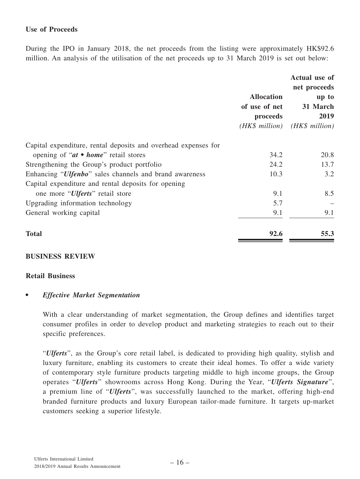## **Use of Proceeds**

During the IPO in January 2018, the net proceeds from the listing were approximately HK\$92.6 million. An analysis of the utilisation of the net proceeds up to 31 March 2019 is set out below:

|                                                                 | <b>Allocation</b><br>of use of net<br>proceeds<br>$(HK\$ million) | Actual use of<br>net proceeds<br>up to<br>31 March<br>2019<br>$(HK\$ million) |
|-----------------------------------------------------------------|-------------------------------------------------------------------|-------------------------------------------------------------------------------|
| Capital expenditure, rental deposits and overhead expenses for  |                                                                   |                                                                               |
| opening of " $at \bullet home$ " retail stores                  | 34.2                                                              | 20.8                                                                          |
| Strengthening the Group's product portfolio                     | 24.2                                                              | 13.7                                                                          |
| Enhancing " <i>Ulfenbo</i> " sales channels and brand awareness | 10.3                                                              | 3.2                                                                           |
| Capital expenditure and rental deposits for opening             |                                                                   |                                                                               |
| one more " <i>Ulferts</i> " retail store                        | 9.1                                                               | 8.5                                                                           |
| Upgrading information technology                                | 5.7                                                               |                                                                               |
| General working capital                                         | 9.1                                                               | 9.1                                                                           |
| <b>Total</b>                                                    | 92.6                                                              | 55.3                                                                          |

## **BUSINESS REVIEW**

#### **Retail Business**

## *• Effective Market Segmentation*

With a clear understanding of market segmentation, the Group defines and identifies target consumer profiles in order to develop product and marketing strategies to reach out to their specific preferences.

"*Ulferts*", as the Group's core retail label, is dedicated to providing high quality, stylish and luxury furniture, enabling its customers to create their ideal homes. To offer a wide variety of contemporary style furniture products targeting middle to high income groups, the Group operates "*Ulferts*" showrooms across Hong Kong. During the Year, "*Ulferts Signature*", a premium line of "*Ulferts*", was successfully launched to the market, offering high-end branded furniture products and luxury European tailor-made furniture. It targets up-market customers seeking a superior lifestyle.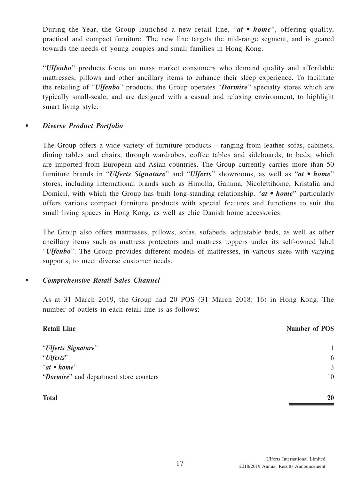During the Year, the Group launched a new retail line, "*at • home*", offering quality, practical and compact furniture. The new line targets the mid-range segment, and is geared towards the needs of young couples and small families in Hong Kong.

"*Ulfenbo*" products focus on mass market consumers who demand quality and affordable mattresses, pillows and other ancillary items to enhance their sleep experience. To facilitate the retailing of "*Ulfenbo*" products, the Group operates "*Dormire*" specialty stores which are typically small-scale, and are designed with a casual and relaxing environment, to highlight smart living style.

## *• Diverse Product Portfolio*

The Group offers a wide variety of furniture products – ranging from leather sofas, cabinets, dining tables and chairs, through wardrobes, coffee tables and sideboards, to beds, which are imported from European and Asian countries. The Group currently carries more than 50 furniture brands in "*Ulferts Signature*" and "*Ulferts*" showrooms, as well as "*at • home*" stores, including international brands such as Himolla, Gamma, Nicolettihome, Kristalia and Domicil, with which the Group has built long-standing relationship. "*at • home*" particularly offers various compact furniture products with special features and functions to suit the small living spaces in Hong Kong, as well as chic Danish home accessories.

The Group also offers mattresses, pillows, sofas, sofabeds, adjustable beds, as well as other ancillary items such as mattress protectors and mattress toppers under its self-owned label "*Ulfenbo*". The Group provides different models of mattresses, in various sizes with varying supports, to meet diverse customer needs.

## *• Comprehensive Retail Sales Channel*

As at 31 March 2019, the Group had 20 POS (31 March 2018: 16) in Hong Kong. The number of outlets in each retail line is as follows:

| <b>Retail Line</b>                      | <b>Number of POS</b> |
|-----------------------------------------|----------------------|
| "Ulferts Signature"                     | 1                    |
| "Ulferts"                               | 6                    |
| " $at \bullet home"$                    | 3                    |
| "Dormire" and department store counters | 10                   |
| <b>Total</b>                            | 20                   |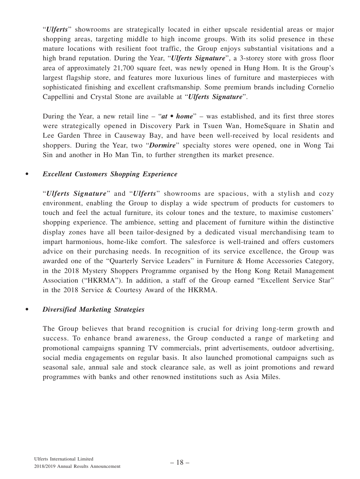"*Ulferts*" showrooms are strategically located in either upscale residential areas or major shopping areas, targeting middle to high income groups. With its solid presence in these mature locations with resilient foot traffic, the Group enjoys substantial visitations and a high brand reputation. During the Year, "*Ulferts Signature*", a 3-storey store with gross floor area of approximately 21,700 square feet, was newly opened in Hung Hom. It is the Group's largest flagship store, and features more luxurious lines of furniture and masterpieces with sophisticated finishing and excellent craftsmanship. Some premium brands including Cornelio Cappellini and Crystal Stone are available at "*Ulferts Signature*".

During the Year, a new retail line – "*at • home*" – was established, and its first three stores were strategically opened in Discovery Park in Tsuen Wan, HomeSquare in Shatin and Lee Garden Three in Causeway Bay, and have been well-received by local residents and shoppers. During the Year, two "*Dormire*" specialty stores were opened, one in Wong Tai Sin and another in Ho Man Tin, to further strengthen its market presence.

## *• Excellent Customers Shopping Experience*

"*Ulferts Signature*" and "*Ulferts*" showrooms are spacious, with a stylish and cozy environment, enabling the Group to display a wide spectrum of products for customers to touch and feel the actual furniture, its colour tones and the texture, to maximise customers' shopping experience. The ambience, setting and placement of furniture within the distinctive display zones have all been tailor-designed by a dedicated visual merchandising team to impart harmonious, home-like comfort. The salesforce is well-trained and offers customers advice on their purchasing needs. In recognition of its service excellence, the Group was awarded one of the "Quarterly Service Leaders" in Furniture & Home Accessories Category, in the 2018 Mystery Shoppers Programme organised by the Hong Kong Retail Management Association ("HKRMA"). In addition, a staff of the Group earned "Excellent Service Star" in the 2018 Service & Courtesy Award of the HKRMA.

## *• Diversified Marketing Strategies*

The Group believes that brand recognition is crucial for driving long-term growth and success. To enhance brand awareness, the Group conducted a range of marketing and promotional campaigns spanning TV commercials, print advertisements, outdoor advertising, social media engagements on regular basis. It also launched promotional campaigns such as seasonal sale, annual sale and stock clearance sale, as well as joint promotions and reward programmes with banks and other renowned institutions such as Asia Miles.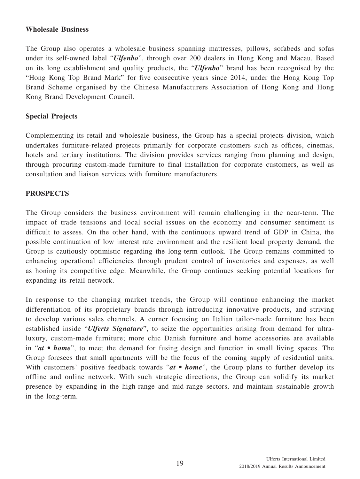## **Wholesale Business**

The Group also operates a wholesale business spanning mattresses, pillows, sofabeds and sofas under its self-owned label "*Ulfenbo*", through over 200 dealers in Hong Kong and Macau. Based on its long establishment and quality products, the "*Ulfenbo*" brand has been recognised by the "Hong Kong Top Brand Mark" for five consecutive years since 2014, under the Hong Kong Top Brand Scheme organised by the Chinese Manufacturers Association of Hong Kong and Hong Kong Brand Development Council.

## **Special Projects**

Complementing its retail and wholesale business, the Group has a special projects division, which undertakes furniture-related projects primarily for corporate customers such as offices, cinemas, hotels and tertiary institutions. The division provides services ranging from planning and design, through procuring custom-made furniture to final installation for corporate customers, as well as consultation and liaison services with furniture manufacturers.

## **PROSPECTS**

The Group considers the business environment will remain challenging in the near-term. The impact of trade tensions and local social issues on the economy and consumer sentiment is difficult to assess. On the other hand, with the continuous upward trend of GDP in China, the possible continuation of low interest rate environment and the resilient local property demand, the Group is cautiously optimistic regarding the long-term outlook. The Group remains committed to enhancing operational efficiencies through prudent control of inventories and expenses, as well as honing its competitive edge. Meanwhile, the Group continues seeking potential locations for expanding its retail network.

In response to the changing market trends, the Group will continue enhancing the market differentiation of its proprietary brands through introducing innovative products, and striving to develop various sales channels. A corner focusing on Italian tailor-made furniture has been established inside "*Ulferts Signature*", to seize the opportunities arising from demand for ultraluxury, custom-made furniture; more chic Danish furniture and home accessories are available in "*at • home*", to meet the demand for fusing design and function in small living spaces. The Group foresees that small apartments will be the focus of the coming supply of residential units. With customers' positive feedback towards "*at* • *home*", the Group plans to further develop its offline and online network. With such strategic directions, the Group can solidify its market presence by expanding in the high-range and mid-range sectors, and maintain sustainable growth in the long-term.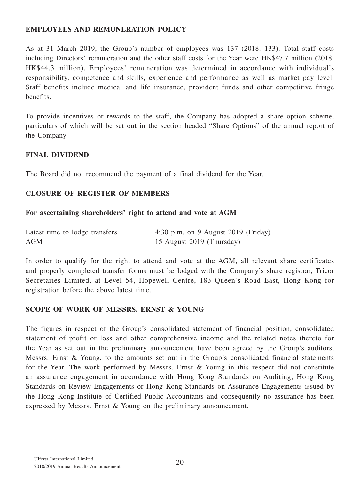## **EMPLOYEES AND REMUNERATION POLICY**

As at 31 March 2019, the Group's number of employees was 137 (2018: 133). Total staff costs including Directors' remuneration and the other staff costs for the Year were HK\$47.7 million (2018: HK\$44.3 million). Employees' remuneration was determined in accordance with individual's responsibility, competence and skills, experience and performance as well as market pay level. Staff benefits include medical and life insurance, provident funds and other competitive fringe benefits.

To provide incentives or rewards to the staff, the Company has adopted a share option scheme, particulars of which will be set out in the section headed "Share Options" of the annual report of the Company.

## **FINAL DIVIDEND**

The Board did not recommend the payment of a final dividend for the Year.

## **CLOSURE OF REGISTER OF MEMBERS**

#### **For ascertaining shareholders' right to attend and vote at AGM**

| Latest time to lodge transfers | 4:30 p.m. on 9 August 2019 (Friday) |
|--------------------------------|-------------------------------------|
| <b>AGM</b>                     | 15 August 2019 (Thursday)           |

In order to qualify for the right to attend and vote at the AGM, all relevant share certificates and properly completed transfer forms must be lodged with the Company's share registrar, Tricor Secretaries Limited, at Level 54, Hopewell Centre, 183 Queen's Road East, Hong Kong for registration before the above latest time.

## **SCOPE OF WORK OF MESSRS. ERNST & YOUNG**

The figures in respect of the Group's consolidated statement of financial position, consolidated statement of profit or loss and other comprehensive income and the related notes thereto for the Year as set out in the preliminary announcement have been agreed by the Group's auditors, Messrs. Ernst & Young, to the amounts set out in the Group's consolidated financial statements for the Year. The work performed by Messrs. Ernst & Young in this respect did not constitute an assurance engagement in accordance with Hong Kong Standards on Auditing, Hong Kong Standards on Review Engagements or Hong Kong Standards on Assurance Engagements issued by the Hong Kong Institute of Certified Public Accountants and consequently no assurance has been expressed by Messrs. Ernst & Young on the preliminary announcement.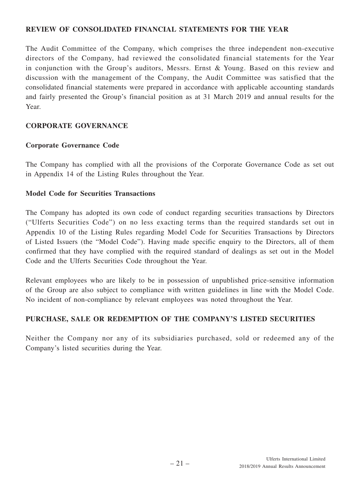## **REVIEW OF CONSOLIDATED FINANCIAL STATEMENTS FOR THE YEAR**

The Audit Committee of the Company, which comprises the three independent non-executive directors of the Company, had reviewed the consolidated financial statements for the Year in conjunction with the Group's auditors, Messrs. Ernst & Young. Based on this review and discussion with the management of the Company, the Audit Committee was satisfied that the consolidated financial statements were prepared in accordance with applicable accounting standards and fairly presented the Group's financial position as at 31 March 2019 and annual results for the Year.

## **CORPORATE GOVERNANCE**

## **Corporate Governance Code**

The Company has complied with all the provisions of the Corporate Governance Code as set out in Appendix 14 of the Listing Rules throughout the Year.

## **Model Code for Securities Transactions**

The Company has adopted its own code of conduct regarding securities transactions by Directors ("Ulferts Securities Code") on no less exacting terms than the required standards set out in Appendix 10 of the Listing Rules regarding Model Code for Securities Transactions by Directors of Listed Issuers (the "Model Code"). Having made specific enquiry to the Directors, all of them confirmed that they have complied with the required standard of dealings as set out in the Model Code and the Ulferts Securities Code throughout the Year.

Relevant employees who are likely to be in possession of unpublished price-sensitive information of the Group are also subject to compliance with written guidelines in line with the Model Code. No incident of non-compliance by relevant employees was noted throughout the Year.

## **PURCHASE, SALE OR REDEMPTION OF THE COMPANY'S LISTED SECURITIES**

Neither the Company nor any of its subsidiaries purchased, sold or redeemed any of the Company's listed securities during the Year.